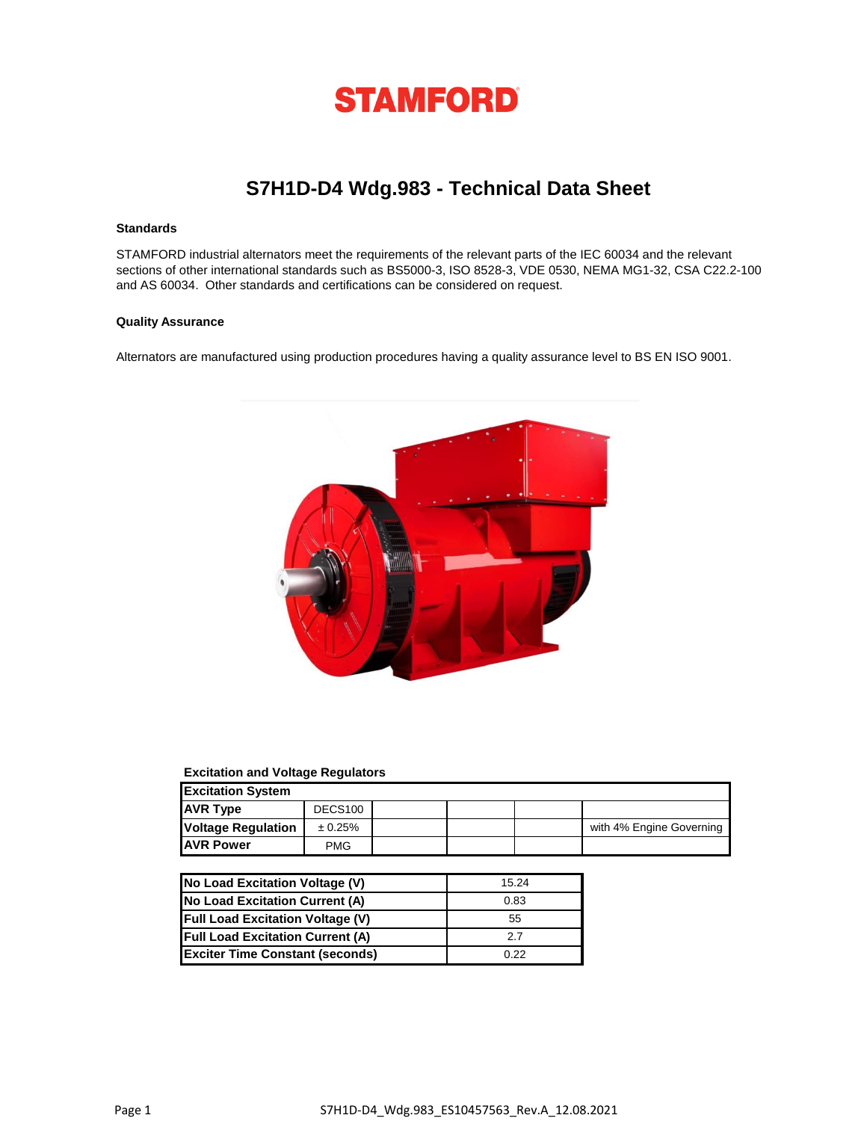

# **S7H1D-D4 Wdg.983 - Technical Data Sheet**

### **Standards**

STAMFORD industrial alternators meet the requirements of the relevant parts of the IEC 60034 and the relevant sections of other international standards such as BS5000-3, ISO 8528-3, VDE 0530, NEMA MG1-32, CSA C22.2-100 and AS 60034. Other standards and certifications can be considered on request.

#### **Quality Assurance**

Alternators are manufactured using production procedures having a quality assurance level to BS EN ISO 9001.



## **Excitation and Voltage Regulators**

| <b>Excitation System</b>  |            |  |  |  |                          |  |  |
|---------------------------|------------|--|--|--|--------------------------|--|--|
| <b>AVR Type</b>           | DECS100    |  |  |  |                          |  |  |
| <b>Voltage Regulation</b> | ± 0.25%    |  |  |  | with 4% Engine Governing |  |  |
| <b>JAVR Power</b>         | <b>PMG</b> |  |  |  |                          |  |  |

| No Load Excitation Voltage (V)          | 15.24 |
|-----------------------------------------|-------|
| No Load Excitation Current (A)          | 0.83  |
| <b>Full Load Excitation Voltage (V)</b> | 55    |
| <b>Full Load Excitation Current (A)</b> | 2.7   |
| <b>Exciter Time Constant (seconds)</b>  | 0.22  |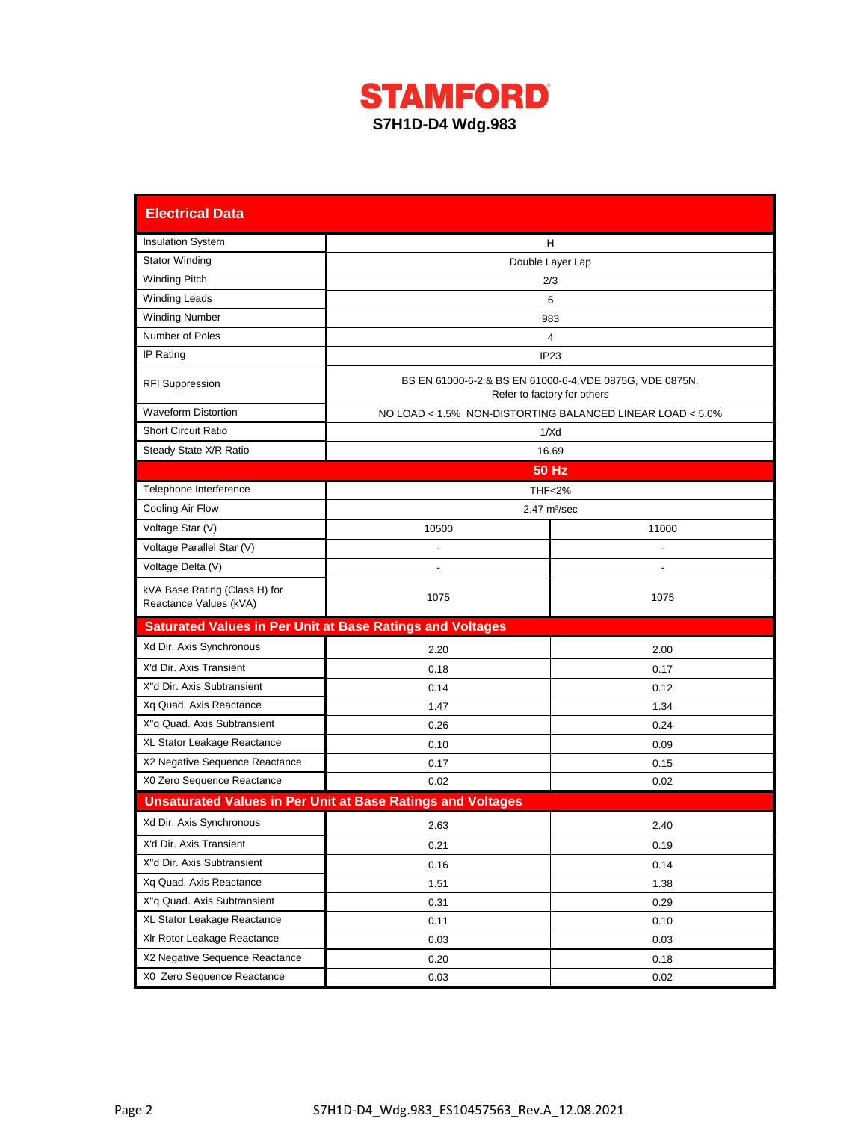

| <b>Electrical Data</b>                                           |                                                                    |                                                                                         |  |  |  |  |  |
|------------------------------------------------------------------|--------------------------------------------------------------------|-----------------------------------------------------------------------------------------|--|--|--|--|--|
| <b>Insulation System</b>                                         |                                                                    | Н                                                                                       |  |  |  |  |  |
| <b>Stator Winding</b>                                            | Double Layer Lap                                                   |                                                                                         |  |  |  |  |  |
| <b>Winding Pitch</b>                                             |                                                                    | 2/3                                                                                     |  |  |  |  |  |
| <b>Winding Leads</b>                                             |                                                                    | 6                                                                                       |  |  |  |  |  |
| <b>Winding Number</b>                                            |                                                                    | 983                                                                                     |  |  |  |  |  |
| Number of Poles                                                  |                                                                    | 4                                                                                       |  |  |  |  |  |
| IP Rating                                                        |                                                                    | IP <sub>23</sub>                                                                        |  |  |  |  |  |
| <b>RFI Suppression</b>                                           |                                                                    | BS EN 61000-6-2 & BS EN 61000-6-4, VDE 0875G, VDE 0875N.<br>Refer to factory for others |  |  |  |  |  |
| <b>Waveform Distortion</b>                                       |                                                                    | NO LOAD < 1.5% NON-DISTORTING BALANCED LINEAR LOAD < 5.0%                               |  |  |  |  |  |
| <b>Short Circuit Ratio</b>                                       |                                                                    | 1/Xd                                                                                    |  |  |  |  |  |
| Steady State X/R Ratio                                           |                                                                    | 16.69                                                                                   |  |  |  |  |  |
|                                                                  |                                                                    | <b>50 Hz</b>                                                                            |  |  |  |  |  |
| Telephone Interference                                           |                                                                    | <b>THF&lt;2%</b>                                                                        |  |  |  |  |  |
| Cooling Air Flow                                                 |                                                                    | 2.47 m <sup>3</sup> /sec                                                                |  |  |  |  |  |
| Voltage Star (V)                                                 | 10500                                                              | 11000                                                                                   |  |  |  |  |  |
| Voltage Parallel Star (V)                                        |                                                                    |                                                                                         |  |  |  |  |  |
| Voltage Delta (V)                                                |                                                                    |                                                                                         |  |  |  |  |  |
| kVA Base Rating (Class H) for<br>Reactance Values (kVA)          | 1075                                                               | 1075                                                                                    |  |  |  |  |  |
| <b>Saturated Values in Per Unit at Base Ratings and Voltages</b> |                                                                    |                                                                                         |  |  |  |  |  |
| Xd Dir. Axis Synchronous                                         | 2.20                                                               | 2.00                                                                                    |  |  |  |  |  |
| X'd Dir. Axis Transient                                          | 0.18                                                               | 0.17                                                                                    |  |  |  |  |  |
| X"d Dir. Axis Subtransient                                       | 0.14                                                               | 0.12                                                                                    |  |  |  |  |  |
| Xq Quad. Axis Reactance                                          | 1.47                                                               | 1.34                                                                                    |  |  |  |  |  |
| X"q Quad. Axis Subtransient                                      | 0.26                                                               | 0.24                                                                                    |  |  |  |  |  |
| XL Stator Leakage Reactance                                      | 0.10                                                               | 0.09                                                                                    |  |  |  |  |  |
| X2 Negative Sequence Reactance                                   | 0.17                                                               | 0.15                                                                                    |  |  |  |  |  |
| X0 Zero Sequence Reactance                                       | 0.02                                                               | 0.02                                                                                    |  |  |  |  |  |
|                                                                  | <b>Unsaturated Values in Per Unit at Base Ratings and Voltages</b> |                                                                                         |  |  |  |  |  |
| Xd Dir. Axis Synchronous                                         | 2.63                                                               | 2.40                                                                                    |  |  |  |  |  |
| X'd Dir. Axis Transient                                          | 0.21                                                               | 0.19                                                                                    |  |  |  |  |  |
| X"d Dir. Axis Subtransient                                       | 0.16                                                               | 0.14                                                                                    |  |  |  |  |  |
| Xq Quad. Axis Reactance                                          | 1.51                                                               | 1.38                                                                                    |  |  |  |  |  |
| X"q Quad. Axis Subtransient                                      | 0.31                                                               | 0.29                                                                                    |  |  |  |  |  |
| XL Stator Leakage Reactance                                      | 0.11                                                               | 0.10                                                                                    |  |  |  |  |  |
| XIr Rotor Leakage Reactance                                      | 0.03                                                               | 0.03                                                                                    |  |  |  |  |  |
| X2 Negative Sequence Reactance                                   | 0.20                                                               | 0.18                                                                                    |  |  |  |  |  |
| X0 Zero Sequence Reactance                                       | 0.03                                                               | 0.02                                                                                    |  |  |  |  |  |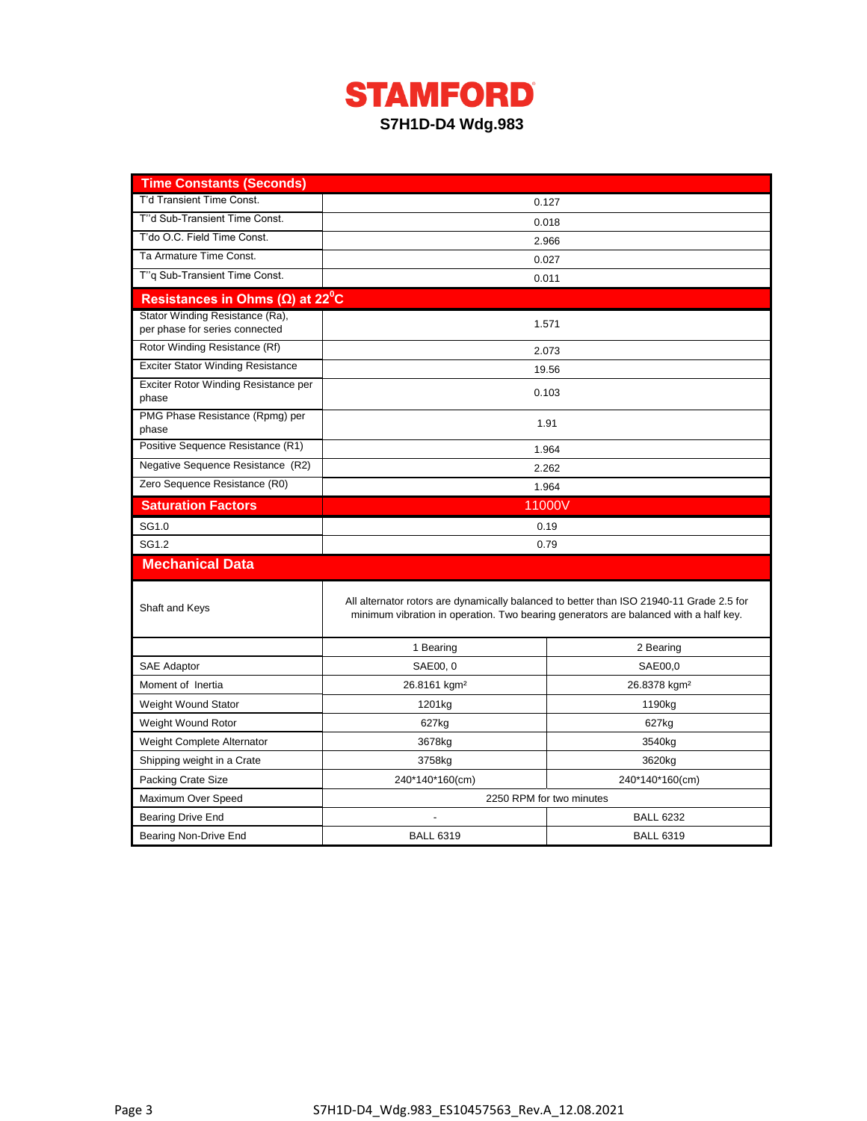

| <b>Time Constants (Seconds)</b>                                   |                                                                                      |                                                                                          |  |  |  |
|-------------------------------------------------------------------|--------------------------------------------------------------------------------------|------------------------------------------------------------------------------------------|--|--|--|
| T'd Transient Time Const.                                         | 0.127                                                                                |                                                                                          |  |  |  |
| T"d Sub-Transient Time Const.                                     | 0.018                                                                                |                                                                                          |  |  |  |
| T'do O.C. Field Time Const.                                       | 2.966                                                                                |                                                                                          |  |  |  |
| Ta Armature Time Const.                                           | 0.027                                                                                |                                                                                          |  |  |  |
| T"q Sub-Transient Time Const.                                     | 0.011                                                                                |                                                                                          |  |  |  |
| Resistances in Ohms ( $\Omega$ ) at 22 <sup>°</sup> C             |                                                                                      |                                                                                          |  |  |  |
| Stator Winding Resistance (Ra),<br>per phase for series connected | 1.571                                                                                |                                                                                          |  |  |  |
| Rotor Winding Resistance (Rf)                                     |                                                                                      | 2.073                                                                                    |  |  |  |
| <b>Exciter Stator Winding Resistance</b>                          |                                                                                      | 19.56                                                                                    |  |  |  |
| Exciter Rotor Winding Resistance per<br>phase                     |                                                                                      | 0.103                                                                                    |  |  |  |
| PMG Phase Resistance (Rpmg) per<br>phase                          | 1.91                                                                                 |                                                                                          |  |  |  |
| Positive Sequence Resistance (R1)                                 | 1.964                                                                                |                                                                                          |  |  |  |
| Negative Sequence Resistance (R2)                                 |                                                                                      | 2.262                                                                                    |  |  |  |
| Zero Sequence Resistance (R0)                                     | 1.964                                                                                |                                                                                          |  |  |  |
| <b>Saturation Factors</b>                                         | 11000V                                                                               |                                                                                          |  |  |  |
| SG1.0                                                             | 0.19                                                                                 |                                                                                          |  |  |  |
| SG1.2                                                             | 0.79                                                                                 |                                                                                          |  |  |  |
| <b>Mechanical Data</b>                                            |                                                                                      |                                                                                          |  |  |  |
| Shaft and Keys                                                    | minimum vibration in operation. Two bearing generators are balanced with a half key. | All alternator rotors are dynamically balanced to better than ISO 21940-11 Grade 2.5 for |  |  |  |
|                                                                   | 1 Bearing                                                                            | 2 Bearing                                                                                |  |  |  |
| SAE Adaptor                                                       | SAE00, 0                                                                             | SAE00,0                                                                                  |  |  |  |
| Moment of Inertia                                                 | 26.8161 kgm <sup>2</sup>                                                             | 26.8378 kgm <sup>2</sup>                                                                 |  |  |  |
| <b>Weight Wound Stator</b>                                        | 1201kg                                                                               | 1190kg                                                                                   |  |  |  |
| Weight Wound Rotor                                                | 627kg                                                                                | 627kg                                                                                    |  |  |  |
| Weight Complete Alternator                                        | 3678kg                                                                               | 3540kg                                                                                   |  |  |  |
| Shipping weight in a Crate                                        | 3758kg                                                                               | 3620kg                                                                                   |  |  |  |
| <b>Packing Crate Size</b>                                         | 240*140*160(cm)                                                                      | 240*140*160(cm)                                                                          |  |  |  |
| Maximum Over Speed                                                | 2250 RPM for two minutes                                                             |                                                                                          |  |  |  |
| Bearing Drive End                                                 |                                                                                      | <b>BALL 6232</b>                                                                         |  |  |  |
| Bearing Non-Drive End                                             | <b>BALL 6319</b>                                                                     | <b>BALL 6319</b>                                                                         |  |  |  |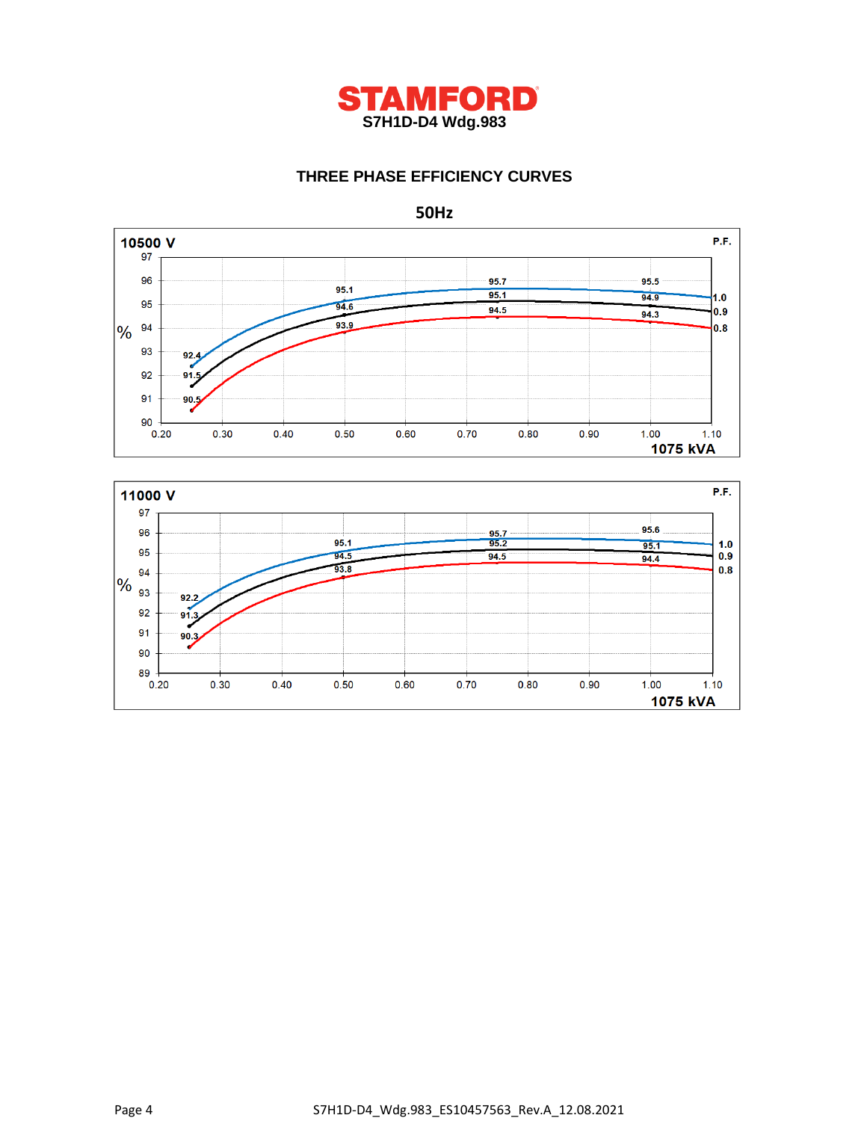

# **THREE PHASE EFFICIENCY CURVES**



P.F. 11000 V 97  $95.6$ 96  $\frac{95.7}{95.2}$  $95.1$  $95.1$  $1.0$ 95  $94.5$  $94.5$ 94.4  $0.9$ 93.8  $0.8$ 94  $\frac{94}{93}$  $92.2$ 92  $91.3$ 91  $90.3$ 90 89  $0.20$  $0.30$  $0.40$  $0.50$  $0.60$  $0.70$  $0.80$  $0.90$  $1.00$  $1.10$ 1075 kVA

Page 4 S7H1D-D4\_Wdg.983\_ES10457563\_Rev.A\_12.08.2021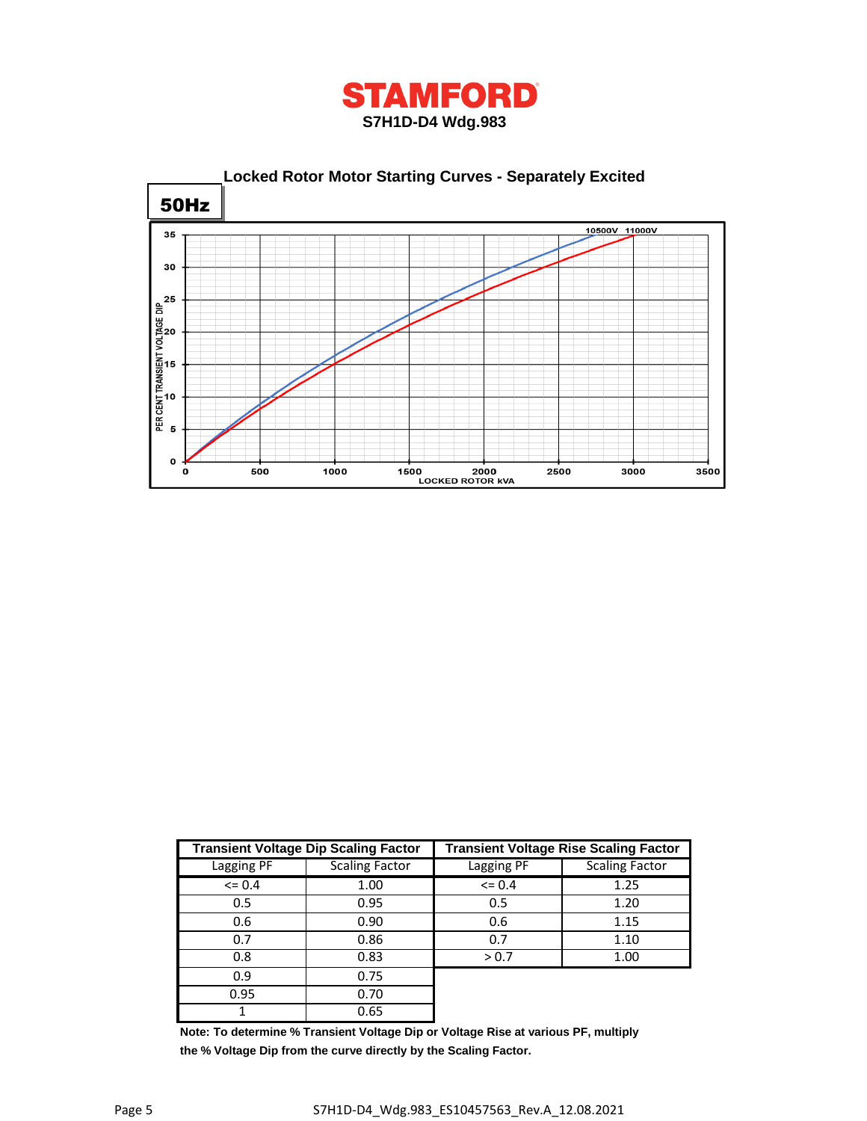



|            | <b>Transient Voltage Dip Scaling Factor</b> | <b>Transient Voltage Rise Scaling Factor</b> |                       |  |  |
|------------|---------------------------------------------|----------------------------------------------|-----------------------|--|--|
| Lagging PF | <b>Scaling Factor</b>                       | Lagging PF                                   | <b>Scaling Factor</b> |  |  |
| $\leq$ 0.4 | 1.00                                        | $\leq$ 0.4                                   | 1.25                  |  |  |
| 0.5        | 0.95                                        | 0.5                                          | 1.20                  |  |  |
| 0.6        | 0.90                                        | 0.6                                          | 1.15                  |  |  |
| 0.7        | 0.86                                        | 0.7                                          | 1.10                  |  |  |
| 0.8        | 0.83                                        | > 0.7                                        | 1.00                  |  |  |
| 0.9        | 0.75                                        |                                              |                       |  |  |
| 0.95       | 0.70                                        |                                              |                       |  |  |
|            | 0.65                                        |                                              |                       |  |  |

**Note: To determine % Transient Voltage Dip or Voltage Rise at various PF, multiply the % Voltage Dip from the curve directly by the Scaling Factor.**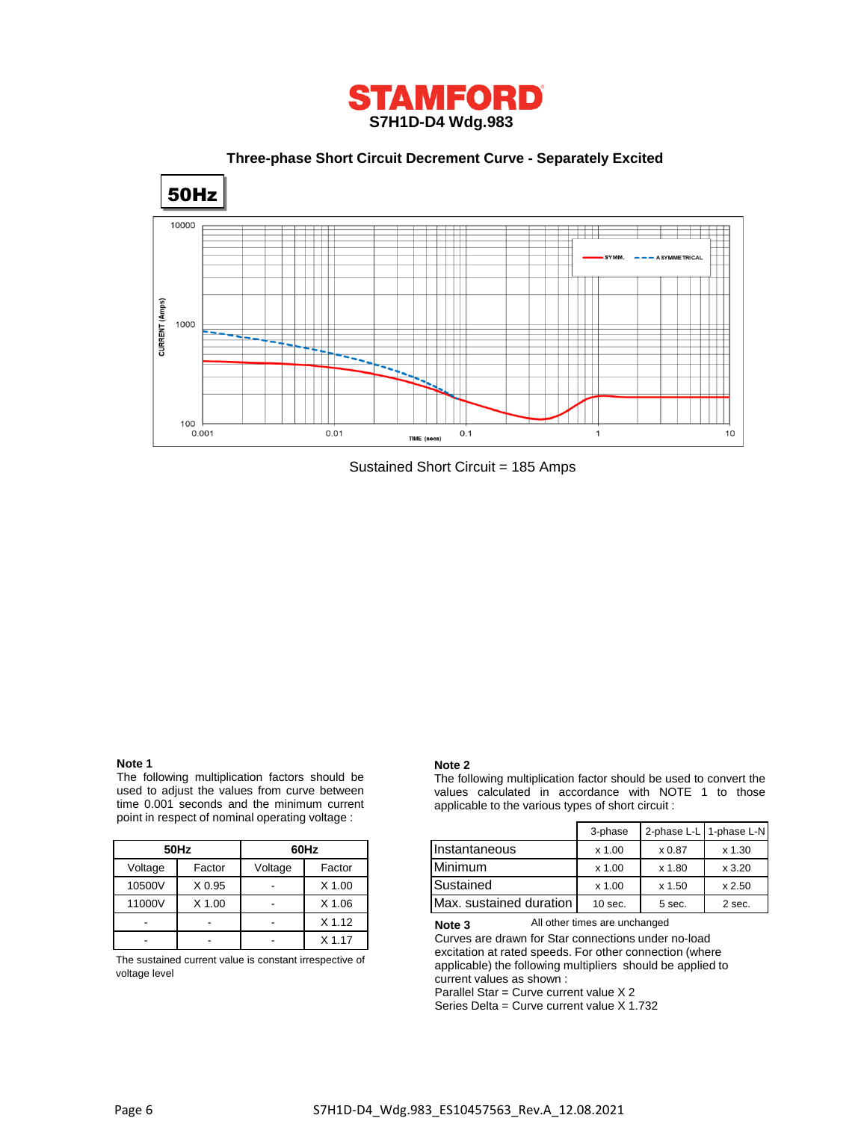

 **Three-phase Short Circuit Decrement Curve - Separately Excited**



Sustained Short Circuit = 185 Amps

# **Note 1**

The following multiplication factors should be used to adjust the values from curve between time 0.001 seconds and the minimum current point in respect of nominal operating voltage :

|         | 50Hz              | 60Hz    |          |  |
|---------|-------------------|---------|----------|--|
| Voltage | Factor            | Voltage | Factor   |  |
| 10500V  | X <sub>0.95</sub> |         | $X$ 1.00 |  |
| 11000V  | $X$ 1.00          |         | $X$ 1.06 |  |
|         |                   |         | $X$ 1.12 |  |
|         |                   |         | $X$ 1.17 |  |

The sustained current value is constant irrespective of voltage level

#### **Note 2**

The following multiplication factor should be used to convert the values calculated in accordance with NOTE 1 to those applicable to the various types of short circuit :

|         |        |         |          |                         | 3-phase   |        | 2-phase L-L 1-phase L-N |
|---------|--------|---------|----------|-------------------------|-----------|--------|-------------------------|
|         | 50Hz   |         | 60Hz     | Instantaneous           | $x$ 1.00  | x 0.87 | x 1.30                  |
| Voltage | Factor | Voltage | Factor   | <b>Minimum</b>          | $x$ 1.00  | x 1.80 | x3.20                   |
| 10500V  | X 0.95 |         | $X$ 1.00 | Sustained               | $x$ 1.00  | x 1.50 | x 2.50                  |
| 11000V  | X 1.00 |         | X 1.06   | Max. sustained duration | $10$ sec. | 5 sec. | 2 sec.                  |

All other times are unchanged **Note 3**

Curves are drawn for Star connections under no-load excitation at rated speeds. For other connection (where applicable) the following multipliers should be applied to current values as shown :

Parallel Star = Curve current value X 2

Series Delta = Curve current value X 1.732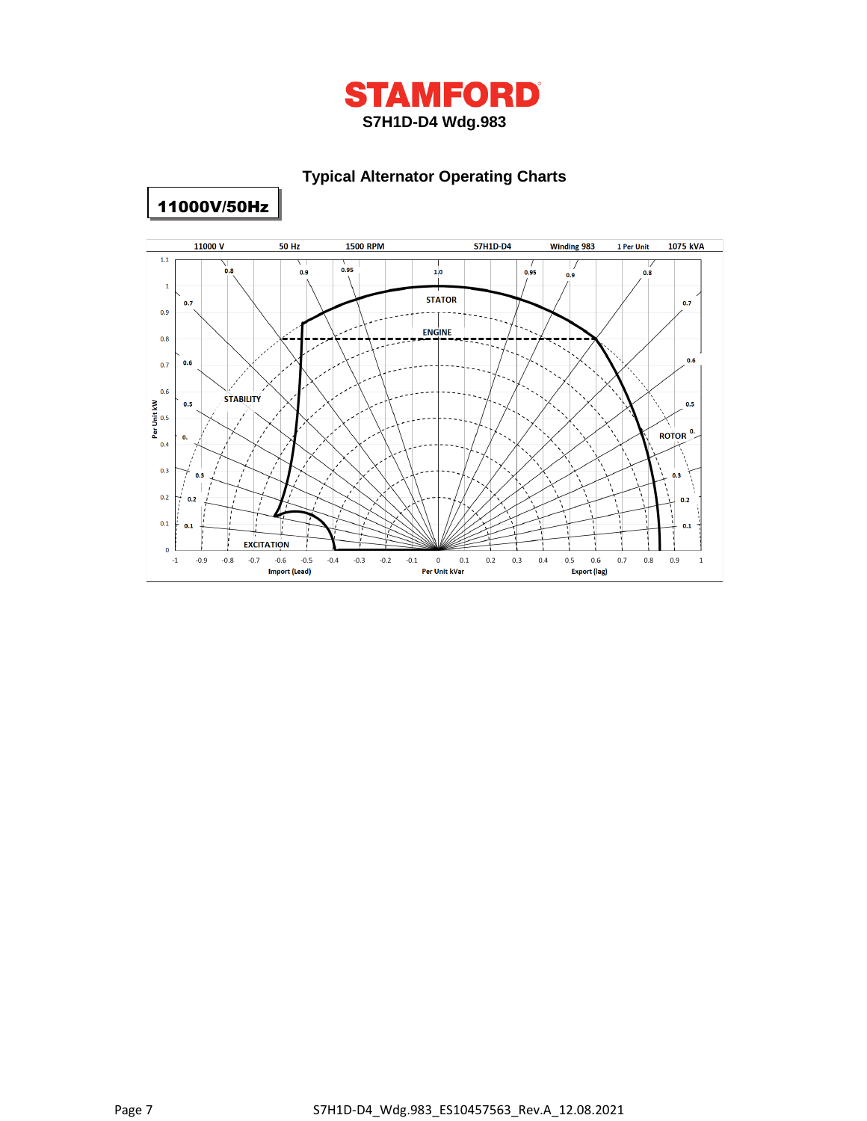

# **Typical Alternator Operating Charts**



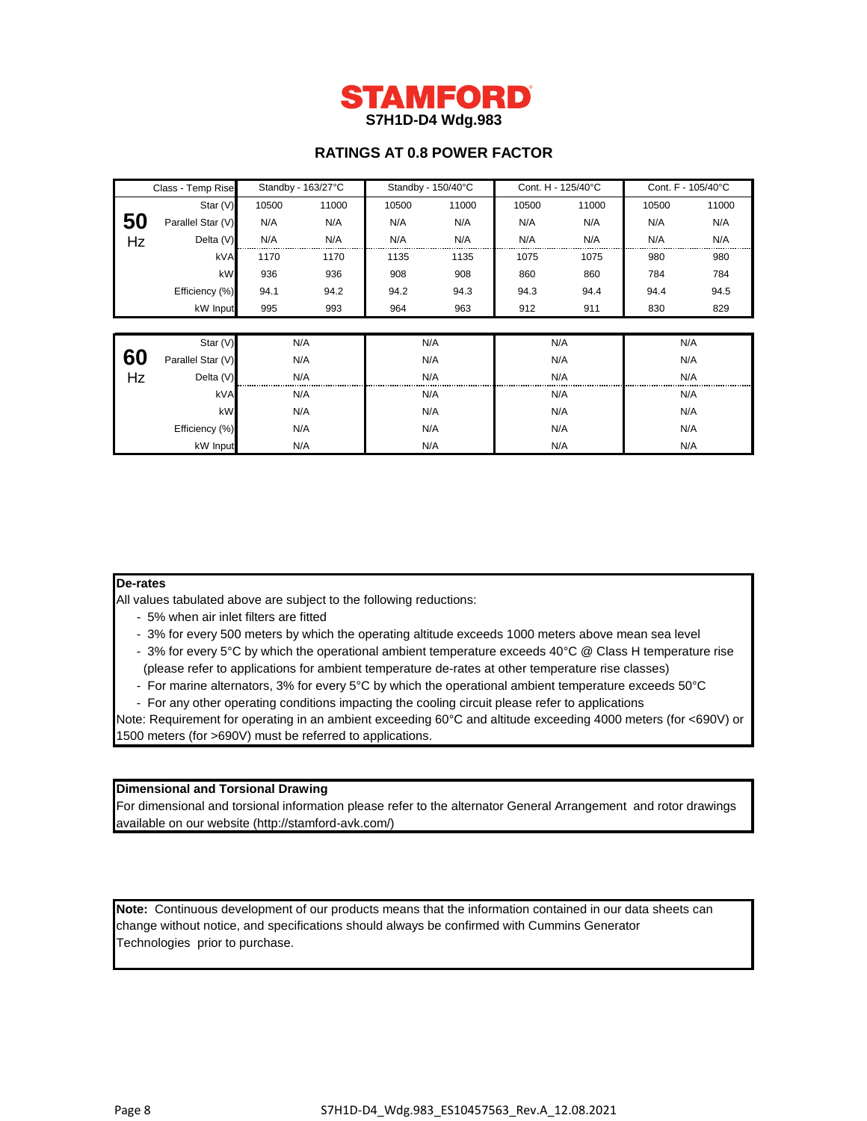

# **RATINGS AT 0.8 POWER FACTOR**

| Class - Temp Rise |                   | Standby - 163/27°C |       | Standby - 150/40°C |       | Cont. H - 125/40°C |       | Cont. F - 105/40°C |       |  |
|-------------------|-------------------|--------------------|-------|--------------------|-------|--------------------|-------|--------------------|-------|--|
|                   | Star (V)          | 10500              | 11000 | 10500              | 11000 | 10500              | 11000 | 10500              | 11000 |  |
| 50                | Parallel Star (V) | N/A                | N/A   | N/A                | N/A   | N/A                | N/A   | N/A                | N/A   |  |
| Hz                | Delta (V)         | N/A                | N/A   | N/A                | N/A   | N/A                | N/A   | N/A                | N/A   |  |
|                   | kVA               | 1170               | 1170  | 1135               | 1135  | 1075               | 1075  | 980                | 980   |  |
|                   | kW                | 936                | 936   | 908                | 908   | 860                | 860   | 784                | 784   |  |
|                   | Efficiency (%)    | 94.1               | 94.2  | 94.2               | 94.3  | 94.3               | 94.4  | 94.4               | 94.5  |  |
|                   | kW Input          | 995                | 993   | 964                | 963   | 912                | 911   | 830                | 829   |  |
|                   |                   |                    |       |                    |       |                    |       |                    |       |  |
|                   | Star (V)          |                    | N/A   |                    | N/A   | N/A                |       |                    | N/A   |  |
| 60                | Parallel Star (V) |                    | N/A   |                    | N/A   | N/A                |       | N/A                |       |  |
| Hz                | Delta (V)         |                    | N/A   |                    | N/A   |                    | N/A   |                    | N/A   |  |
|                   | kVA               |                    | N/A   |                    | N/A   |                    | N/A   |                    | N/A   |  |
|                   | kW                | N/A                |       | N/A                |       | N/A                |       | N/A                |       |  |
|                   | Efficiency (%)    | N/A                |       | N/A                |       | N/A                |       | N/A                |       |  |
|                   | N/A<br>kW Input   |                    | N/A   |                    | N/A   |                    | N/A   |                    |       |  |

## **De-rates**

All values tabulated above are subject to the following reductions:

- 5% when air inlet filters are fitted
- 3% for every 500 meters by which the operating altitude exceeds 1000 meters above mean sea level
- 3% for every 5°C by which the operational ambient temperature exceeds 40°C @ Class H temperature rise (please refer to applications for ambient temperature de-rates at other temperature rise classes)
- For marine alternators, 3% for every 5°C by which the operational ambient temperature exceeds 50°C
- For any other operating conditions impacting the cooling circuit please refer to applications
- Note: Requirement for operating in an ambient exceeding 60°C and altitude exceeding 4000 meters (for <690V) or 1500 meters (for >690V) must be referred to applications.

### **Dimensional and Torsional Drawing**

For dimensional and torsional information please refer to the alternator General Arrangement and rotor drawings available on our website (http://stamford-avk.com/)

**Note:** Continuous development of our products means that the information contained in our data sheets can change without notice, and specifications should always be confirmed with Cummins Generator Technologies prior to purchase.